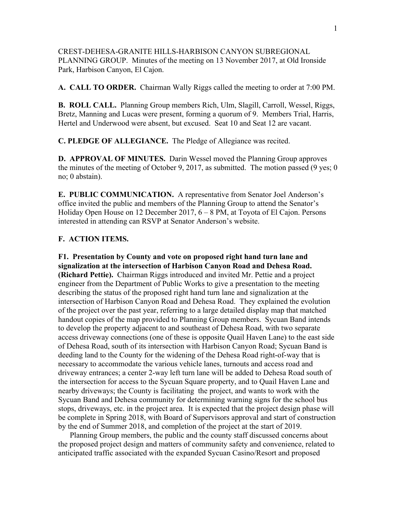CREST-DEHESA-GRANITE HILLS-HARBISON CANYON SUBREGIONAL PLANNING GROUP. Minutes of the meeting on 13 November 2017, at Old Ironside Park, Harbison Canyon, El Cajon.

**A. CALL TO ORDER.** Chairman Wally Riggs called the meeting to order at 7:00 PM.

**B. ROLL CALL.** Planning Group members Rich, Ulm, Slagill, Carroll, Wessel, Riggs, Bretz, Manning and Lucas were present, forming a quorum of 9. Members Trial, Harris, Hertel and Underwood were absent, but excused. Seat 10 and Seat 12 are vacant.

**C. PLEDGE OF ALLEGIANCE.** The Pledge of Allegiance was recited.

**D. APPROVAL OF MINUTES.** Darin Wessel moved the Planning Group approves the minutes of the meeting of October 9, 2017, as submitted. The motion passed (9 yes; 0 no; 0 abstain).

**E. PUBLIC COMMUNICATION.** A representative from Senator Joel Anderson's office invited the public and members of the Planning Group to attend the Senator's Holiday Open House on 12 December 2017, 6 – 8 PM, at Toyota of El Cajon. Persons interested in attending can RSVP at Senator Anderson's website.

## **F. ACTION ITEMS.**

**F1. Presentation by County and vote on proposed right hand turn lane and signalization at the intersection of Harbison Canyon Road and Dehesa Road. (Richard Pettie).** Chairman Riggs introduced and invited Mr. Pettie and a project engineer from the Department of Public Works to give a presentation to the meeting describing the status of the proposed right hand turn lane and signalization at the intersection of Harbison Canyon Road and Dehesa Road. They explained the evolution of the project over the past year, referring to a large detailed display map that matched handout copies of the map provided to Planning Group members. Sycuan Band intends to develop the property adjacent to and southeast of Dehesa Road, with two separate access driveway connections (one of these is opposite Quail Haven Lane) to the east side of Dehesa Road, south of its intersection with Harbison Canyon Road; Sycuan Band is deeding land to the County for the widening of the Dehesa Road right-of-way that is necessary to accommodate the various vehicle lanes, turnouts and access road and driveway entrances; a center 2-way left turn lane will be added to Dehesa Road south of the intersection for access to the Sycuan Square property, and to Quail Haven Lane and nearby driveways; the County is facilitating the project, and wants to work with the Sycuan Band and Dehesa community for determining warning signs for the school bus stops, driveways, etc. in the project area. It is expected that the project design phase will be complete in Spring 2018, with Board of Supervisors approval and start of construction by the end of Summer 2018, and completion of the project at the start of 2019.

 Planning Group members, the public and the county staff discussed concerns about the proposed project design and matters of community safety and convenience, related to anticipated traffic associated with the expanded Sycuan Casino/Resort and proposed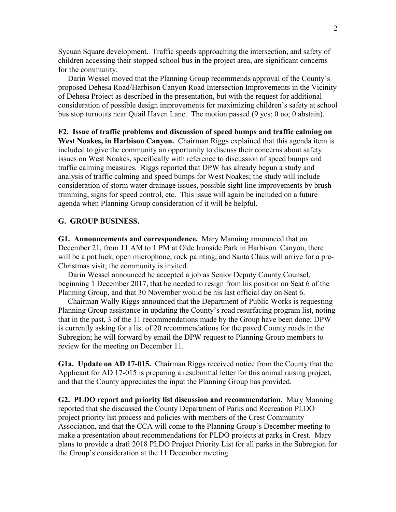Sycuan Square development. Traffic speeds approaching the intersection, and safety of children accessing their stopped school bus in the project area, are significant concerns for the community.

 Darin Wessel moved that the Planning Group recommends approval of the County's proposed Dehesa Road/Harbison Canyon Road Intersection Improvements in the Vicinity of Dehesa Project as described in the presentation, but with the request for additional consideration of possible design improvements for maximizing children's safety at school bus stop turnouts near Quail Haven Lane. The motion passed (9 yes; 0 no; 0 abstain).

**F2. Issue of traffic problems and discussion of speed bumps and traffic calming on West Noakes, in Harbison Canyon.** Chairman Riggs explained that this agenda item is included to give the community an opportunity to discuss their concerns about safety issues on West Noakes, specifically with reference to discussion of speed bumps and traffic calming measures. Riggs reported that DPW has already begun a study and analysis of traffic calming and speed bumps for West Noakes; the study will include consideration of storm water drainage issues, possible sight line improvements by brush trimming, signs for speed control, etc. This issue will again be included on a future agenda when Planning Group consideration of it will be helpful.

## **G. GROUP BUSINESS.**

**G1. Announcements and correspondence.** Mary Manning announced that on December 21, from 11 AM to 1 PM at Olde Ironside Park in Harbison Canyon, there will be a pot luck, open microphone, rock painting, and Santa Claus will arrive for a pre-Christmas visit; the community is invited.

 Darin Wessel announced he accepted a job as Senior Deputy County Counsel, beginning 1 December 2017, that he needed to resign from his position on Seat 6 of the Planning Group, and that 30 November would be his last official day on Seat 6.

 Chairman Wally Riggs announced that the Department of Public Works is requesting Planning Group assistance in updating the County's road resurfacing program list, noting that in the past, 3 of the 11 recommendations made by the Group have been done; DPW is currently asking for a list of 20 recommendations for the paved County roads in the Subregion; he will forward by email the DPW request to Planning Group members to review for the meeting on December 11.

**G1a. Update on AD 17-015.** Chairman Riggs received notice from the County that the Applicant for AD 17-015 is preparing a resubmittal letter for this animal raising project, and that the County appreciates the input the Planning Group has provided.

**G2. PLDO report and priority list discussion and recommendation.** Mary Manning reported that she discussed the County Department of Parks and Recreation PLDO project priority list process and policies with members of the Crest Community Association, and that the CCA will come to the Planning Group's December meeting to make a presentation about recommendations for PLDO projects at parks in Crest. Mary plans to provide a draft 2018 PLDO Project Priority List for all parks in the Subregion for the Group's consideration at the 11 December meeting.